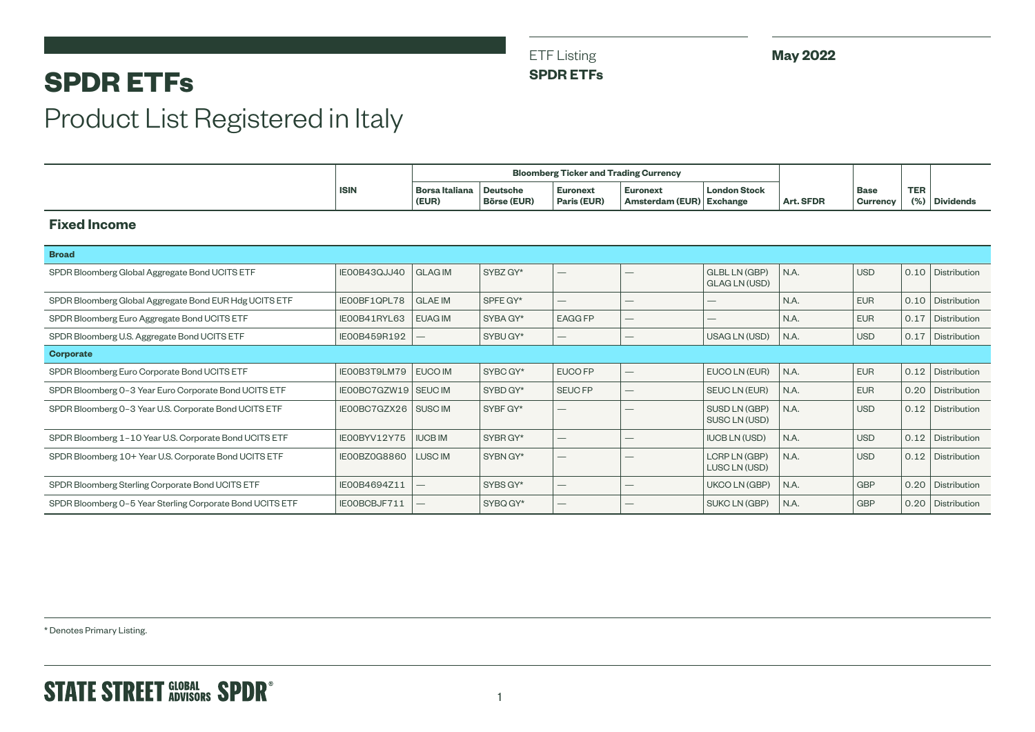ETF Listing

**SPDR ETFs**

**May 2022**

## **SPDR ETFs**

# Product List Registered in Italy

|                                                           |                     | <b>Bloomberg Ticker and Trading Currency</b> |                                       |                                 |                                    |                                              |           |                                |                       |                     |
|-----------------------------------------------------------|---------------------|----------------------------------------------|---------------------------------------|---------------------------------|------------------------------------|----------------------------------------------|-----------|--------------------------------|-----------------------|---------------------|
|                                                           | <b>ISIN</b>         | <b>Borsa Italiana</b><br>(EUR)               | <b>Deutsche</b><br><b>Börse (EUR)</b> | <b>Euronext</b><br>Paris (EUR)  | <b>Euronext</b><br>Amsterdam (EUR) | <b>London Stock</b><br><b>Exchange</b>       | Art. SFDR | <b>Base</b><br><b>Currency</b> | <b>TER</b><br>$(\% )$ | <b>Dividends</b>    |
| <b>Fixed Income</b>                                       |                     |                                              |                                       |                                 |                                    |                                              |           |                                |                       |                     |
| <b>Broad</b>                                              |                     |                                              |                                       |                                 |                                    |                                              |           |                                |                       |                     |
| SPDR Bloomberg Global Aggregate Bond UCITS ETF            | IE00B43QJJ40        | <b>GLAG IM</b>                               | SYBZ GY*                              | $\qquad \qquad -$               |                                    | <b>GLBL LN (GBP)</b><br><b>GLAG LN (USD)</b> | N.A.      | <b>USD</b>                     |                       | 0.10 Distribution   |
| SPDR Bloomberg Global Aggregate Bond EUR Hdg UCITS ETF    | IEOOBF1QPL78        | <b>GLAE IM</b>                               | SPFE GY*                              | $\qquad \qquad -$               | $\hspace{0.1mm}-\hspace{0.1mm}$    | —                                            | N.A.      | <b>EUR</b>                     | 0.10                  | Distribution        |
| SPDR Bloomberg Euro Aggregate Bond UCITS ETF              | IE00B41RYL63        | <b>EUAG IM</b>                               | SYBA GY*                              | <b>EAGG FP</b>                  | $\hspace{0.1mm}-\hspace{0.1mm}$    |                                              | N.A.      | <b>EUR</b>                     | 0.17                  | Distribution        |
| SPDR Bloomberg U.S. Aggregate Bond UCITS ETF              | IE00B459R192        |                                              | SYBU GY*                              | $\hspace{0.1mm}-\hspace{0.1mm}$ | –                                  | USAG LN (USD)                                | N.A.      | <b>USD</b>                     | 0.17                  | Distribution        |
| <b>Corporate</b>                                          |                     |                                              |                                       |                                 |                                    |                                              |           |                                |                       |                     |
| SPDR Bloomberg Euro Corporate Bond UCITS ETF              | IEOOB3T9LM79        | EUCO IM                                      | SYBC GY*                              | EUCO FP                         | $\qquad \qquad$                    | EUCO LN (EUR)                                | N.A.      | <b>EUR</b>                     | 0.12                  | Distribution        |
| SPDR Bloomberg 0-3 Year Euro Corporate Bond UCITS ETF     | IE00BC7GZW19 SEUCIM |                                              | SYBD GY*                              | <b>SEUC FP</b>                  | $\overline{\phantom{0}}$           | <b>SEUCLN (EUR)</b>                          | N.A.      | <b>EUR</b>                     | 0.20                  | Distribution        |
| SPDR Bloomberg 0-3 Year U.S. Corporate Bond UCITS ETF     | IE00BC7GZX26        | SUSC <sub>IM</sub>                           | SYBF GY*                              |                                 |                                    | SUSD LN (GBP)<br>SUSC LN (USD)               | N.A.      | <b>USD</b>                     | 0.12                  | Distribution        |
| SPDR Bloomberg 1-10 Year U.S. Corporate Bond UCITS ETF    | IE00BYV12Y75        | <b>IUCB IM</b>                               | SYBR GY*                              |                                 | —                                  | <b>IUCB LN (USD)</b>                         | N.A.      | <b>USD</b>                     | 0.12                  | Distribution        |
| SPDR Bloomberg 10+ Year U.S. Corporate Bond UCITS ETF     | IE00BZ0G8860        | LUSC IM                                      | SYBN GY*                              | $\qquad \qquad -$               | –                                  | LCRP LN (GBP)<br>LUSC LN (USD)               | N.A.      | <b>USD</b>                     | 0.12                  | Distribution        |
| SPDR Bloomberg Sterling Corporate Bond UCITS ETF          | IE00B4694Z11        | $\overline{\phantom{0}}$                     | SYBS GY*                              |                                 | $\overbrace{\phantom{12332}}$      | UKCO LN (GBP)                                | N.A.      | <b>GBP</b>                     | 0.20                  | <b>Distribution</b> |
| SPDR Bloomberg 0-5 Year Sterling Corporate Bond UCITS ETF | IEOOBCBJF711        |                                              | SYBQ GY*                              | $\qquad \qquad -$               | –                                  | <b>SUKCLN (GBP)</b>                          | N.A.      | <b>GBP</b>                     | 0.20                  | Distribution        |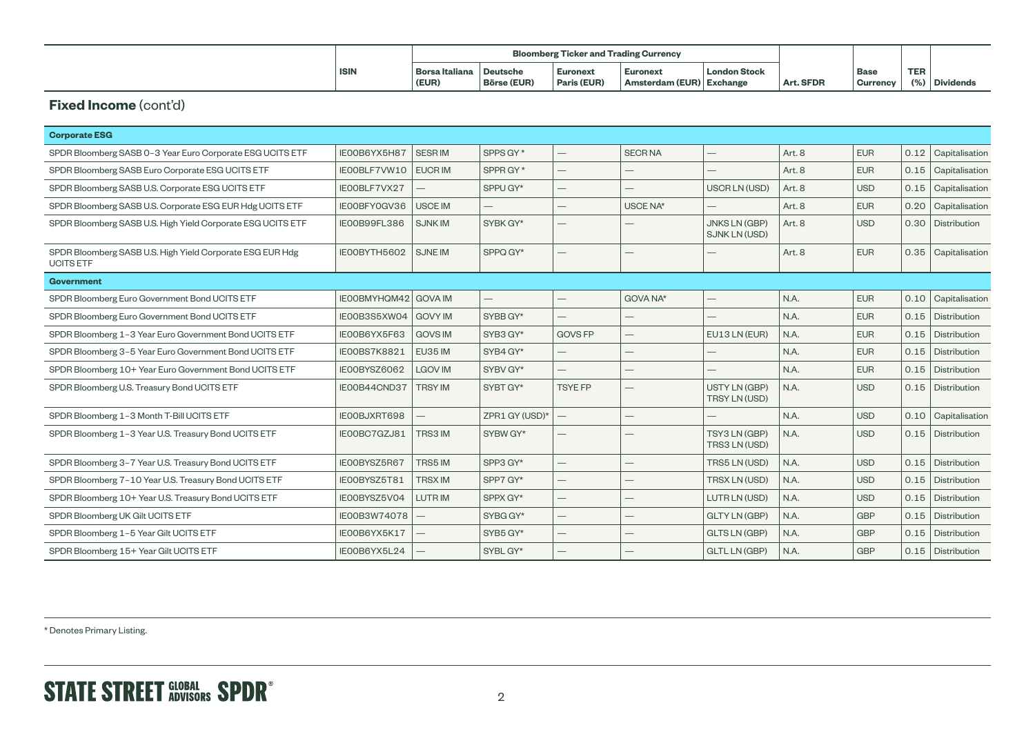|             | <b>Bloomberg Ticker and Trading Currency</b> |                    |                 |                          |                     |           |                 |            |                  |
|-------------|----------------------------------------------|--------------------|-----------------|--------------------------|---------------------|-----------|-----------------|------------|------------------|
| <b>ISIN</b> | Borsa Italiana                               | Deutsche           | <b>Euronext</b> | <b>Euronext</b>          | <b>London Stock</b> |           | Base            | <b>TER</b> |                  |
|             | (EUR)                                        | <b>Börse (EUR)</b> | Paris (EUR)     | Amsterdam (EUR) Exchange |                     | Art. SFDR | <b>Currency</b> | 10/7       | <b>Dividends</b> |

#### **Fixed Income (cont'd)**

| <b>Corporate ESG</b>                                                          |                             |                |                          |                |               |                                              |                   |            |      |                       |
|-------------------------------------------------------------------------------|-----------------------------|----------------|--------------------------|----------------|---------------|----------------------------------------------|-------------------|------------|------|-----------------------|
| SPDR Bloomberg SASB 0-3 Year Euro Corporate ESG UCITS ETF                     | IE00B6YX5H87                | <b>SESRIM</b>  | SPPS GY*                 |                | <b>SECRNA</b> |                                              | Art. 8            | <b>EUR</b> |      | $0.12$ Capitalisation |
| SPDR Bloomberg SASB Euro Corporate ESG UCITS ETF                              | IEOOBLF7VW10                | <b>EUCRIM</b>  | SPPR GY*                 |                |               |                                              | Art. 8            | <b>EUR</b> | 0.15 | Capitalisation        |
| SPDR Bloomberg SASB U.S. Corporate ESG UCITS ETF                              | IEOOBLF7VX27                |                | SPPU GY*                 |                |               | USCR LN (USD)                                | Art. <sub>8</sub> | <b>USD</b> | 0.15 | Capitalisation        |
| SPDR Bloomberg SASB U.S. Corporate ESG EUR Hdg UCITS ETF                      | IE00BFY0GV36                | <b>USCE IM</b> | $\overline{\phantom{0}}$ |                | USCE NA*      |                                              | Art. 8            | <b>EUR</b> | 0.20 | Capitalisation        |
| SPDR Bloomberg SASB U.S. High Yield Corporate ESG UCITS ETF                   | IEOOB99FL386                | <b>SJNKIM</b>  | SYBK GY*                 |                |               | <b>JNKS LN (GBP)</b><br><b>SJNK LN (USD)</b> | Art. <sub>8</sub> | <b>USD</b> |      | 0.30   Distribution   |
| SPDR Bloomberg SASB U.S. High Yield Corporate ESG EUR Hdg<br><b>UCITS ETF</b> | IE00BYTH5602                | <b>SJNE IM</b> | SPPQ GY*                 |                |               |                                              | Art. 8            | <b>EUR</b> | 0.35 | Capitalisation        |
| <b>Government</b>                                                             |                             |                |                          |                |               |                                              |                   |            |      |                       |
| SPDR Bloomberg Euro Government Bond UCITS ETF                                 | <b>IEOOBMYHQM42 GOVA IM</b> |                |                          |                | GOVA NA*      |                                              | N.A.              | <b>EUR</b> | 0.10 | Capitalisation        |
| SPDR Bloomberg Euro Government Bond UCITS ETF                                 | IEOOB3S5XWO4                | <b>GOVY IM</b> | SYBB GY*                 |                |               |                                              | N.A.              | <b>EUR</b> |      | 0.15   Distribution   |
| SPDR Bloomberg 1-3 Year Euro Government Bond UCITS ETF                        | IEOOB6YX5F63                | <b>GOVS IM</b> | SYB3 GY*                 | <b>GOVS FP</b> |               | EU13 LN (EUR)                                | N.A.              | <b>EUR</b> | 0.15 | Distribution          |
| SPDR Bloomberg 3-5 Year Euro Government Bond UCITS ETF                        | IEOOBS7K8821                | EU35 IM        | SYB4 GY*                 |                |               |                                              | N.A.              | <b>EUR</b> |      | 0.15   Distribution   |
| SPDR Bloomberg 10+ Year Euro Government Bond UCITS ETF                        | IE00BYSZ6062                | <b>LGOV IM</b> | SYBV GY*                 |                |               |                                              | N.A.              | <b>EUR</b> | 0.15 | Distribution          |
| SPDR Bloomberg U.S. Treasury Bond UCITS ETF                                   | IE00B44CND37                | <b>TRSY IM</b> | SYBT GY*                 | <b>TSYE FP</b> |               | USTY LN (GBP)<br>TRSY LN (USD)               | N.A.              | <b>USD</b> |      | 0.15   Distribution   |
| SPDR Bloomberg 1-3 Month T-Bill UCITS ETF                                     | IEOOBJXRT698                |                | ZPR1 GY (USD)*           |                |               |                                              | N.A.              | <b>USD</b> | 0.10 | Capitalisation        |
| SPDR Bloomberg 1-3 Year U.S. Treasury Bond UCITS ETF                          | IE00BC7GZJ81                | TRS3 IM        | SYBW GY*                 |                |               | TSY3 LN (GBP)<br>TRS3 LN (USD)               | N.A.              | <b>USD</b> |      | 0.15   Distribution   |
| SPDR Bloomberg 3-7 Year U.S. Treasury Bond UCITS ETF                          | IE00BYSZ5R67                | TRS5 IM        | SPP3 GY*                 |                |               | TRS5 LN (USD)                                | N.A.              | <b>USD</b> | 0.15 | Distribution          |
| SPDR Bloomberg 7-10 Year U.S. Treasury Bond UCITS ETF                         | IEOOBYSZ5T81                | <b>TRSX IM</b> | SPP7 GY*                 |                |               | TRSX LN (USD)                                | N.A.              | <b>USD</b> | 0.15 | Distribution          |
| SPDR Bloomberg 10+ Year U.S. Treasury Bond UCITS ETF                          | IE00BYSZ5V04                | LUTR IM        | SPPX GY*                 |                |               | LUTR LN (USD)                                | N.A.              | <b>USD</b> | 0.15 | Distribution          |
| SPDR Bloomberg UK Gilt UCITS ETF                                              | IE00B3W74078                |                | SYBG GY*                 |                |               | <b>GLTY LN (GBP)</b>                         | N.A.              | <b>GBP</b> |      | 0.15   Distribution   |
| SPDR Bloomberg 1-5 Year Gilt UCITS ETF                                        | IEOOB6YX5K17                |                | SYB5 GY*                 |                |               | <b>GLTS LN (GBP)</b>                         | N.A.              | <b>GBP</b> | 0.15 | Distribution          |
| SPDR Bloomberg 15+ Year Gilt UCITS ETF                                        | IE00B6YX5L24                |                | SYBL GY*                 |                |               | <b>GLTL LN (GBP)</b>                         | N.A.              | <b>GBP</b> |      | 0.15   Distribution   |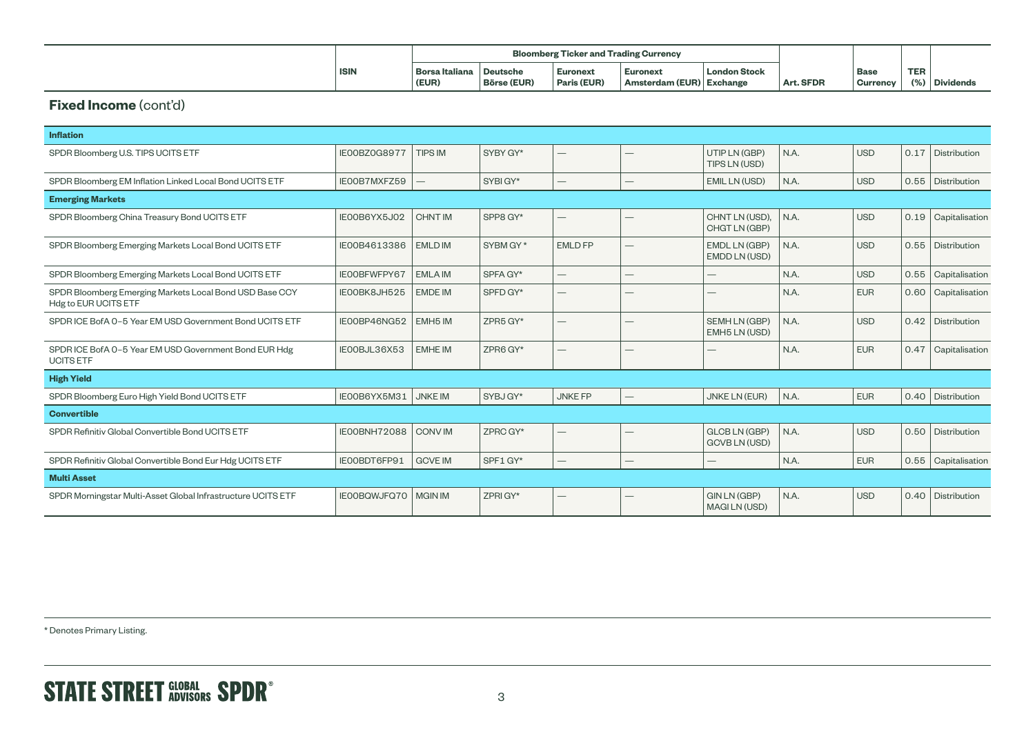|             | <b>Bloomberg Ticker and Trading Currency</b> |                    |             |                          |                     |           |                 |            |                  |
|-------------|----------------------------------------------|--------------------|-------------|--------------------------|---------------------|-----------|-----------------|------------|------------------|
| <b>ISIN</b> | <b>Borsa Italiana</b>                        | <b>Deutsche</b>    | Euronext    | <b>Euronext</b>          | <b>London Stock</b> |           | Base            | <b>TER</b> |                  |
|             | (EUR)                                        | <b>Börse (EUR)</b> | Paris (EUR) | Amsterdam (EUR) Exchange |                     | Art. SFDR | <b>Currency</b> | 10/2       | <b>Dividends</b> |

#### **Fixed Income (cont'd)**

| <b>Inflation</b>                                                                |                     |                     |          |                          |                          |                                            |      |            |      |                |
|---------------------------------------------------------------------------------|---------------------|---------------------|----------|--------------------------|--------------------------|--------------------------------------------|------|------------|------|----------------|
| SPDR Bloomberg U.S. TIPS UCITS ETF                                              | <b>IE00BZ0G8977</b> | <b>TIPS IM</b>      | SYBY GY* |                          |                          | UTIP LN (GBP)<br>TIPS LN (USD)             | N.A. | <b>USD</b> | 0.17 | Distribution   |
| SPDR Bloomberg EM Inflation Linked Local Bond UCITS ETF                         | IE00B7MXFZ59        |                     | SYBIGY*  |                          |                          | EMIL LN (USD)                              | N.A. | <b>USD</b> | 0.55 | Distribution   |
| <b>Emerging Markets</b>                                                         |                     |                     |          |                          |                          |                                            |      |            |      |                |
| SPDR Bloomberg China Treasury Bond UCITS ETF                                    | IE00B6YX5J02        | <b>CHNT IM</b>      | SPP8 GY* | $\overline{\phantom{0}}$ |                          | CHNT LN (USD).<br>CHGT LN (GBP)            | N.A. | <b>USD</b> | 0.19 | Capitalisation |
| SPDR Bloomberg Emerging Markets Local Bond UCITS ETF                            | IE00B4613386        | <b>EMLD IM</b>      | SYBM GY* | <b>EMLD FP</b>           | —                        | EMDL LN (GBP)<br>EMDD LN (USD)             | N.A. | <b>USD</b> | 0.55 | Distribution   |
| SPDR Bloomberg Emerging Markets Local Bond UCITS ETF                            | IEOOBFWFPY67        | <b>EMLA IM</b>      | SPFA GY* | $\overline{\phantom{0}}$ | –                        |                                            | N.A. | <b>USD</b> | 0.55 | Capitalisation |
| SPDR Bloomberg Emerging Markets Local Bond USD Base CCY<br>Hdg to EUR UCITS ETF | IEOOBK8JH525        | <b>EMDE IM</b>      | SPFD GY* |                          |                          |                                            | N.A. | <b>EUR</b> | 0.60 | Capitalisation |
| SPDR ICE BofA 0-5 Year EM USD Government Bond UCITS ETF                         | IE00BP46NG52        | EMH <sub>5</sub> IM | ZPR5 GY* |                          |                          | SEMH LN (GBP)<br>EMH5 LN (USD)             | N.A. | <b>USD</b> | 0.42 | Distribution   |
| SPDR ICE BofA 0-5 Year EM USD Government Bond EUR Hdg<br><b>UCITS ETF</b>       | IEOOBJL36X53        | <b>EMHE IM</b>      | ZPR6 GY* |                          |                          |                                            | N.A. | <b>EUR</b> | 0.47 | Capitalisation |
| <b>High Yield</b>                                                               |                     |                     |          |                          |                          |                                            |      |            |      |                |
| SPDR Bloomberg Euro High Yield Bond UCITS ETF                                   | IEOOB6YX5M31        | <b>JNKE IM</b>      | SYBJ GY* | <b>JNKE FP</b>           | $\overline{\phantom{0}}$ | <b>JNKE LN (EUR)</b>                       | N.A. | <b>EUR</b> | 0.40 | Distribution   |
| <b>Convertible</b>                                                              |                     |                     |          |                          |                          |                                            |      |            |      |                |
| SPDR Refinitiv Global Convertible Bond UCITS ETF                                | IEOOBNH72088        | <b>CONVIM</b>       | ZPRC GY* | $\qquad \qquad$          |                          | GLCB LN (GBP)<br>GCVB LN (USD)             | N.A. | <b>USD</b> | 0.50 | Distribution   |
| SPDR Refinitiv Global Convertible Bond Eur Hdg UCITS ETF                        | IEOOBDT6FP91        | <b>GCVE IM</b>      | SPF1 GY* |                          |                          |                                            | N.A. | <b>EUR</b> | 0.55 | Capitalisation |
| <b>Multi Asset</b>                                                              |                     |                     |          |                          |                          |                                            |      |            |      |                |
| SPDR Morningstar Multi-Asset Global Infrastructure UCITS ETF                    | IE00BQWJFQ70        | <b>MGIN IM</b>      | ZPRI GY* |                          |                          | <b>GIN LN (GBP)</b><br><b>MAGILN (USD)</b> | N.A. | <b>USD</b> | 0.40 | Distribution   |
|                                                                                 |                     |                     |          |                          |                          |                                            |      |            |      |                |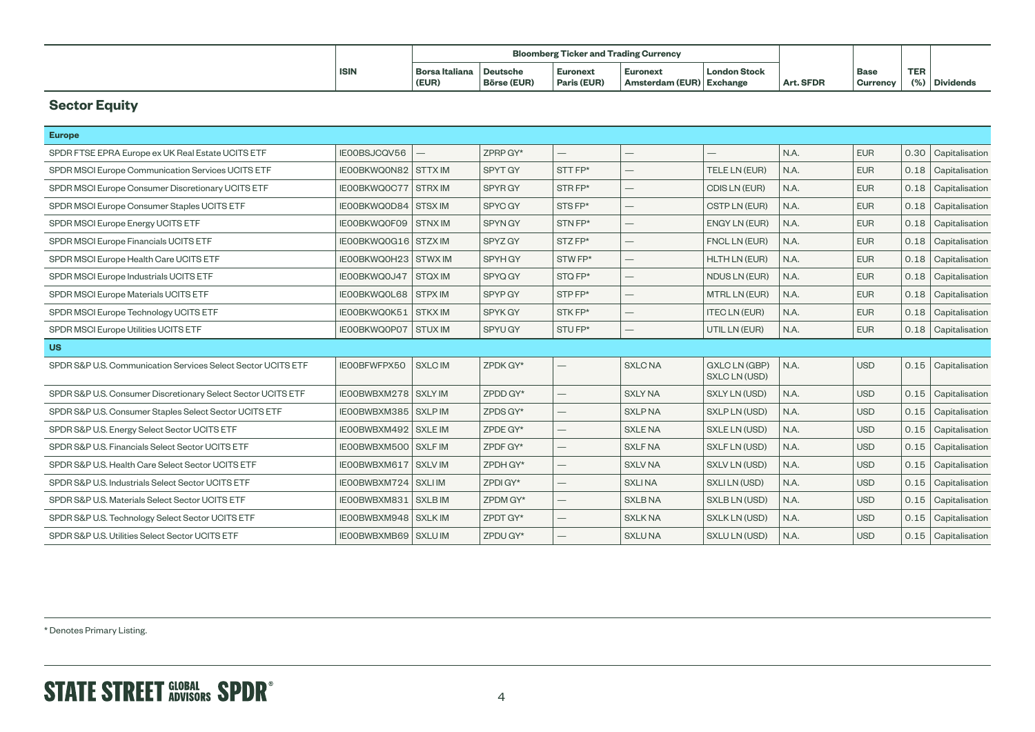|             |                         | <b>Bloomberg Ticker and Trading Currency</b> |                                |                                             |                     |           |                    |            |               |
|-------------|-------------------------|----------------------------------------------|--------------------------------|---------------------------------------------|---------------------|-----------|--------------------|------------|---------------|
| <b>ISIN</b> | Borsa Italiana<br>(EUR) | <b>Deutsche</b><br><b>Börse (EUR)</b>        | <b>Euronext</b><br>Paris (EUR) | <b>Euronext</b><br>Amsterdam (EUR) Exchange | <b>London Stock</b> | Art. SFDR | ' Base<br>Currency | <b>TER</b> | (%) Dividends |

## **Sector Equity**

| <b>Europe</b>                                                |                             |                |                |                          |                          |                                |      |            |      |                       |
|--------------------------------------------------------------|-----------------------------|----------------|----------------|--------------------------|--------------------------|--------------------------------|------|------------|------|-----------------------|
| SPDR FTSE EPRA Europe ex UK Real Estate UCITS ETF            | IE00BSJCQV56                |                | ZPRP GY*       | $\qquad \qquad -$        |                          |                                | N.A. | <b>EUR</b> |      | 0.30 Capitalisation   |
| SPDR MSCI Europe Communication Services UCITS ETF            | <b>IEOOBKWQON82 STTX IM</b> |                | SPYT GY        | STT FP*                  | $\overline{\phantom{0}}$ | TELE LN (EUR)                  | N.A. | <b>EUR</b> | 0.18 | Capitalisation        |
| SPDR MSCI Europe Consumer Discretionary UCITS ETF            | IEOOBKWQOC77 STRX IM        |                | SPYR GY        | STRFP*                   |                          | CDIS LN (EUR)                  | N.A. | <b>EUR</b> | 0.18 | Capitalisation        |
| SPDR MSCI Europe Consumer Staples UCITS ETF                  | IEOOBKWQOD84 STSX IM        |                | SPYC GY        | STS FP*                  |                          | CSTP LN (EUR)                  | N.A. | <b>EUR</b> | 0.18 | Capitalisation        |
| SPDR MSCI Europe Energy UCITS ETF                            | IEOOBKWQOFO9   STNX IM      |                | SPYN GY        | STN FP*                  | $\overline{\phantom{0}}$ | ENGY LN (EUR)                  | N.A. | <b>EUR</b> | 0.18 | Capitalisation        |
| SPDR MSCI Europe Financials UCITS ETF                        | IEOOBKWQ0G16   STZX IM      |                | SPYZ GY        | STZ FP*                  |                          | FNCL LN (EUR)                  | N.A. | <b>EUR</b> | 0.18 | Capitalisation        |
| SPDR MSCI Europe Health Care UCITS ETF                       | IEOOBKWQOH23   STWX IM      |                | SPYH GY        | STW FP*                  |                          | <b>HLTH LN (EUR)</b>           | N.A. | <b>EUR</b> | 0.18 | Capitalisation        |
| SPDR MSCI Europe Industrials UCITS ETF                       | IEOOBKWQ0J47 STQX IM        |                | SPYQ GY        | STQ FP*                  |                          | NDUS LN (EUR)                  | N.A. | <b>EUR</b> | 0.18 | Capitalisation        |
| SPDR MSCI Europe Materials UCITS ETF                         | IEOOBKWQOL68   STPX IM      |                | SPYP GY        | STPFP*                   | $\overline{\phantom{0}}$ | <b>MTRL LN (EUR)</b>           | N.A. | <b>EUR</b> | 0.18 | Capitalisation        |
| SPDR MSCI Europe Technology UCITS ETF                        | IEOOBKWQ0K51   STKX IM      |                | <b>SPYK GY</b> | STK FP*                  |                          | <b>ITEC LN (EUR)</b>           | N.A. | <b>EUR</b> | 0.18 | Capitalisation        |
| SPDR MSCI Europe Utilities UCITS ETF                         | IEOOBKWQOPO7   STUX IM      |                | SPYU GY        | STUFP*                   |                          | UTIL LN (EUR)                  | N.A. | <b>EUR</b> |      | 0.18   Capitalisation |
| <b>US</b>                                                    |                             |                |                |                          |                          |                                |      |            |      |                       |
| SPDR S&P U.S. Communication Services Select Sector UCITS ETF | IEOOBFWFPX50                | <b>SXLC IM</b> | ZPDK GY*       |                          | <b>SXLC NA</b>           | GXLC LN (GBP)<br>SXLC LN (USD) | N.A. | <b>USD</b> |      | $0.15$ Capitalisation |
| SPDR S&P U.S. Consumer Discretionary Select Sector UCITS ETF | IEOOBWBXM278 SXLY IM        |                | ZPDD GY*       | $\overline{\phantom{0}}$ | <b>SXLY NA</b>           | SXLY LN (USD)                  | N.A. | <b>USD</b> | 0.15 | Capitalisation        |
| SPDR S&P U.S. Consumer Staples Select Sector UCITS ETF       | IEOOBWBXM385 SXLP IM        |                | ZPDS GY*       |                          | <b>SXLP NA</b>           | SXLP LN (USD)                  | N.A. | <b>USD</b> | 0.15 | Capitalisation        |
| SPDR S&P U.S. Energy Select Sector UCITS ETF                 | IEOOBWBXM492   SXLE IM      |                | ZPDE GY*       |                          | <b>SXLE NA</b>           | SXLE LN (USD)                  | N.A. | <b>USD</b> | 0.15 | Capitalisation        |
| SPDR S&P U.S. Financials Select Sector UCITS ETF             | IEOOBWBXM500 SXLF IM        |                | ZPDF GY*       |                          | <b>SXLF NA</b>           | SXLF LN (USD)                  | N.A. | <b>USD</b> | 0.15 | Capitalisation        |
| SPDR S&P U.S. Health Care Select Sector UCITS ETF            | IEOOBWBXM617   SXLV IM      |                | ZPDH GY*       |                          | <b>SXLV NA</b>           | SXLV LN (USD)                  | N.A. | <b>USD</b> | 0.15 | Capitalisation        |
| SPDR S&P U.S. Industrials Select Sector UCITS ETF            | IEOOBWBXM724 SXLIIM         |                | ZPDI GY*       |                          | <b>SXLINA</b>            | SXLILN (USD)                   | N.A. | <b>USD</b> | 0.15 | Capitalisation        |
| SPDR S&P U.S. Materials Select Sector UCITS ETF              | IEOOBWBXM831   SXLB IM      |                | ZPDM GY*       |                          | <b>SXLBNA</b>            | SXLB LN (USD)                  | N.A. | <b>USD</b> | 0.15 | Capitalisation        |
| SPDR S&P U.S. Technology Select Sector UCITS ETF             | IEOOBWBXM948 SXLK IM        |                | ZPDT GY*       |                          | <b>SXLK NA</b>           | SXLK LN (USD)                  | N.A. | <b>USD</b> | 0.15 | Capitalisation        |
| SPDR S&P U.S. Utilities Select Sector UCITS ETF              | IEOOBWBXMB69 SXLU IM        |                | ZPDU GY*       |                          | <b>SXLUNA</b>            | SXLU LN (USD)                  | N.A. | <b>USD</b> | 0.15 | Capitalisation        |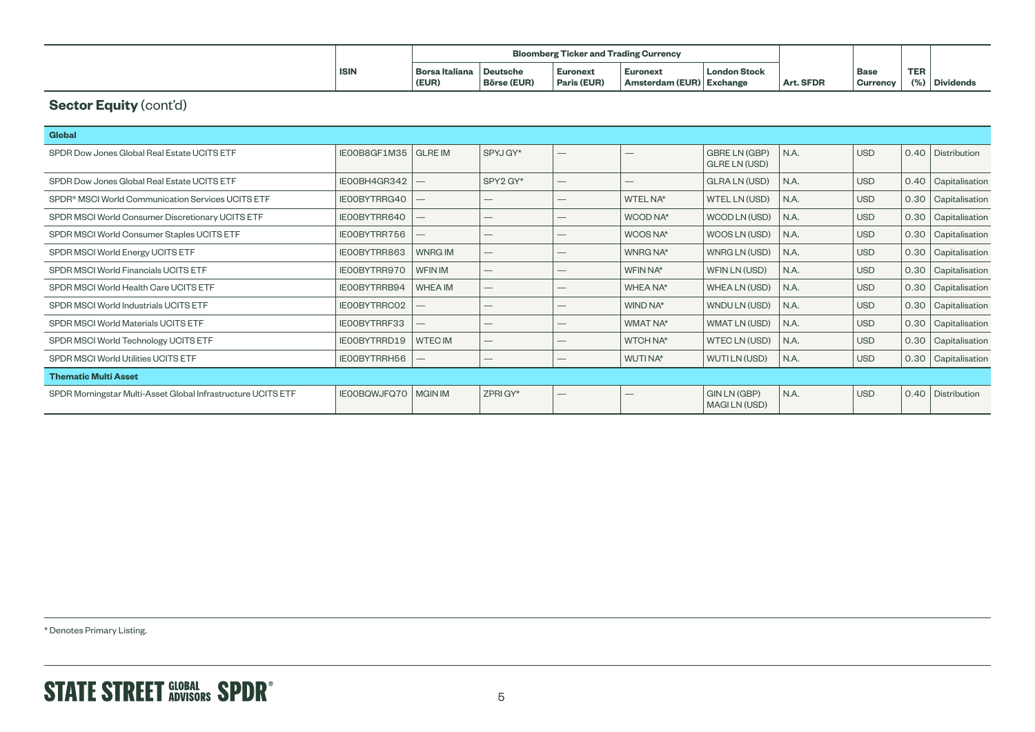|             | <b>Bloomberg Ticker and Trading Currency</b> |                    |                 |                          |                     |           |                 |            |                  |
|-------------|----------------------------------------------|--------------------|-----------------|--------------------------|---------------------|-----------|-----------------|------------|------------------|
| <b>ISIN</b> | Borsa Italiana                               | Deutsche           | <b>Euronext</b> | <b>Euronext</b>          | <b>London Stock</b> |           | Base            | <b>TER</b> |                  |
|             | (EUR)                                        | <b>Börse (EUR)</b> | Paris (EUR)     | Amsterdam (EUR) Exchange |                     | Art. SFDR | <b>Currency</b> | 10/7       | <b>Dividends</b> |

## **Sector Equity (cont'd)**

| <b>Global</b>                                                 |                               |                |                          |                          |                 |                                |      |            |      |                     |
|---------------------------------------------------------------|-------------------------------|----------------|--------------------------|--------------------------|-----------------|--------------------------------|------|------------|------|---------------------|
| SPDR Dow Jones Global Real Estate UCITS ETF                   | IEOOB8GF1M35 GLREIM           |                | SPYJ GY*                 | $\overline{\phantom{0}}$ |                 | GBRE LN (GBP)<br>GLRE LN (USD) | N.A. | <b>USD</b> |      | 0.40   Distribution |
| SPDR Dow Jones Global Real Estate UCITS ETF                   | IEOOBH4GR342                  |                | SPY2 GY*                 | $\overline{\phantom{0}}$ |                 | GLRA LN (USD)                  | N.A. | <b>USD</b> | 0.40 | Capitalisation      |
| SPDR <sup>®</sup> MSCI World Communication Services UCITS ETF | IE00BYTRRG40                  |                | $\overline{\phantom{0}}$ |                          | <b>WTEL NA*</b> | WTEL LN (USD)                  | N.A. | <b>USD</b> | 0.30 | Capitalisation      |
| SPDR MSCI World Consumer Discretionary UCITS ETF              | IE00BYTRR640                  |                | $\overline{\phantom{0}}$ |                          | WCOD NA*        | WCOD LN (USD)                  | N.A. | <b>USD</b> | 0.30 | Capitalisation      |
| SPDR MSCI World Consumer Staples UCITS ETF                    | IEOOBYTRR756                  |                | $\overline{\phantom{0}}$ |                          | WCOS NA*        | WCOS LN (USD)                  | N.A. | <b>USD</b> | 0.30 | Capitalisation      |
| SPDR MSCI World Energy UCITS ETF                              | IEOOBYTRR863                  | <b>WNRG IM</b> | $\overline{\phantom{0}}$ |                          | WNRG NA*        | WNRG LN (USD)                  | N.A. | <b>USD</b> | 0.30 | Capitalisation      |
| SPDR MSCI World Financials UCITS ETF                          | IE00BYTRR970                  | <b>WFIN IM</b> | $\overline{\phantom{0}}$ |                          | WFIN NA*        | WFIN LN (USD)                  | N.A. | <b>USD</b> | 0.30 | Capitalisation      |
| SPDR MSCI World Health Care UCITS ETF                         | IEOOBYTRRB94                  | <b>WHEA IM</b> | $\overline{\phantom{0}}$ |                          | WHEA NA*        | WHEA LN (USD)                  | N.A. | <b>USD</b> | 0.30 | Capitalisation      |
| SPDR MSCI World Industrials UCITS ETF                         | IE00BYTRRC02                  |                | $\overline{\phantom{0}}$ | —                        | WIND NA*        | WNDU LN (USD)                  | N.A. | <b>USD</b> | 0.30 | Capitalisation      |
| SPDR MSCI World Materials UCITS ETF                           | IEOOBYTRRF33                  |                | $\overline{\phantom{0}}$ |                          | WMAT NA*        | WMAT LN (USD)                  | N.A. | <b>USD</b> | 0.30 | Capitalisation      |
| SPDR MSCI World Technology UCITS ETF                          | IEOOBYTRRD19                  | <b>WTEC IM</b> |                          |                          | WTCH NA*        | WTEC LN (USD)                  | N.A. | <b>USD</b> | 0.30 | Capitalisation      |
| <b>SPDR MSCI World Utilities UCITS ETF</b>                    | IEOOBYTRRH56                  |                |                          | –                        | WUTINA*         | WUTI LN (USD)                  | N.A. | <b>USD</b> | 0.30 | Capitalisation      |
| <b>Thematic Multi Asset</b>                                   |                               |                |                          |                          |                 |                                |      |            |      |                     |
| SPDR Morningstar Multi-Asset Global Infrastructure UCITS ETF  | <b>IEOOBQWJFQ70   MGIN IM</b> |                | ZPRI GY*                 | $\overline{\phantom{0}}$ |                 | GIN LN (GBP)<br>MAGILN (USD)   | N.A. | <b>USD</b> |      | 0.40   Distribution |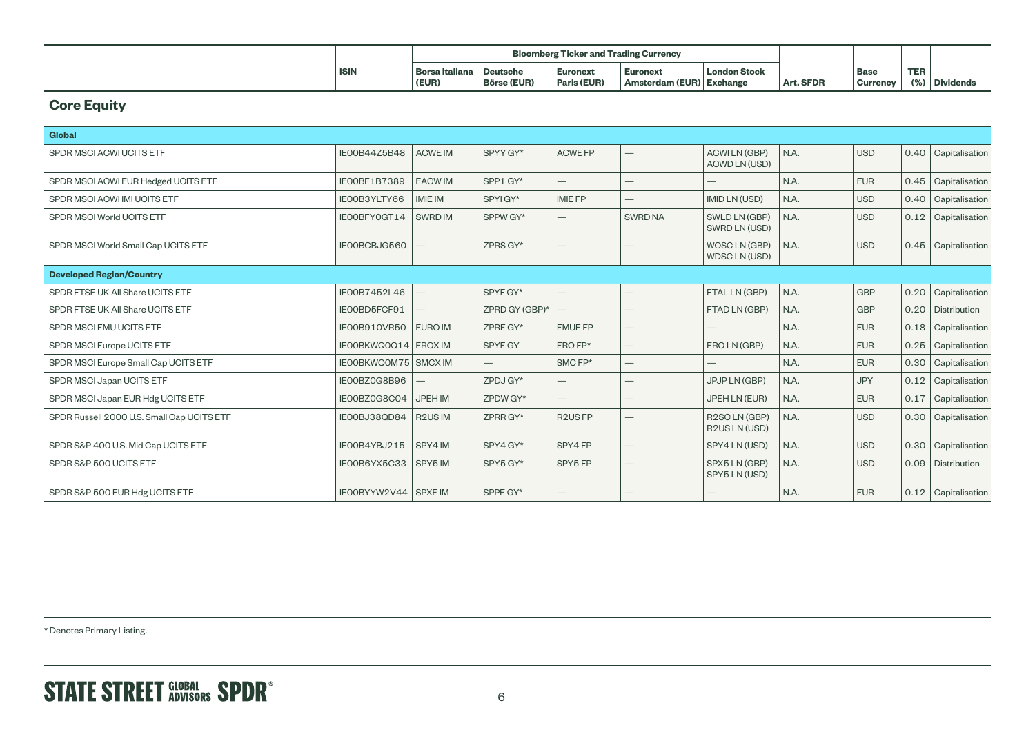|             |                         | <b>Bloomberg Ticker and Trading Currency</b> |                                |                                      |                     |           |                                |            |                  |
|-------------|-------------------------|----------------------------------------------|--------------------------------|--------------------------------------|---------------------|-----------|--------------------------------|------------|------------------|
| <b>ISIN</b> | Borsa Italiana<br>(EUR) | <b>Deutsche</b><br><b>Börse (EUR)</b>        | <b>Euronext</b><br>Paris (EUR) | Euronext<br>Amsterdam (EUR) Exchange | <b>London Stock</b> | Art. SFDR | <b>Base</b><br><b>Currency</b> | <b>TER</b> | <b>Dividends</b> |

## **Core Equity**

| <b>Global</b>                              |                        |                |                          |                                  |                                 |                                             |      |            |      |                       |
|--------------------------------------------|------------------------|----------------|--------------------------|----------------------------------|---------------------------------|---------------------------------------------|------|------------|------|-----------------------|
| SPDR MSCI ACWI UCITS ETF                   | IE00B44Z5B48           | <b>ACWE IM</b> | SPYY GY*                 | <b>ACWE FP</b>                   | $\hspace{0.05cm}$               | <b>ACWILN (GBP)</b><br><b>ACWD LN (USD)</b> | N.A. | <b>USD</b> |      | 0.40 Capitalisation   |
| SPDR MSCI ACWI EUR Hedged UCITS ETF        | IEOOBF1B7389           | <b>EACWIM</b>  | SPP1 GY*                 | $-$                              |                                 |                                             | N.A. | <b>EUR</b> | 0.45 | Capitalisation        |
| SPDR MSCI ACWI IMI UCITS ETF               | IE00B3YLTY66           | <b>IMIE IM</b> | SPYIGY*                  | <b>IMIE FP</b>                   | $\hspace{0.1mm}-\hspace{0.1mm}$ | IMID LN (USD)                               | N.A. | <b>USD</b> | 0.40 | Capitalisation        |
| SPDR MSCI World UCITS ETF                  | IE00BFY0GT14           | SWRD IM        | SPPW GY*                 |                                  | <b>SWRD NA</b>                  | SWLD LN (GBP)<br>SWRD LN (USD)              | N.A. | <b>USD</b> |      | $0.12$ Capitalisation |
| SPDR MSCI World Small Cap UCITS ETF        | IE00BCBJG560           |                | ZPRS GY*                 |                                  |                                 | WOSC LN (GBP)<br><b>WDSCLN (USD)</b>        | N.A. | <b>USD</b> | 0.45 | Capitalisation        |
| <b>Developed Region/Country</b>            |                        |                |                          |                                  |                                 |                                             |      |            |      |                       |
| SPDR FTSE UK All Share UCITS ETF           | IE00B7452L46           |                | SPYF GY*                 | $\qquad \qquad -$                |                                 | FTAL LN (GBP)                               | N.A. | <b>GBP</b> | 0.20 | Capitalisation        |
| SPDR FTSE UK All Share UCITS ETF           | IE00BD5FCF91           |                | ZPRD GY (GBP)*           | $\overline{\phantom{0}}$         | $\hspace{0.1mm}-\hspace{0.1mm}$ | FTAD LN (GBP)                               | N.A. | <b>GBP</b> | 0.20 | Distribution          |
| SPDR MSCI EMU UCITS ETF                    | IE00B910VR50           | <b>EURO IM</b> | ZPRE GY*                 | <b>EMUE FP</b>                   | $\hspace{0.1mm}-\hspace{0.1mm}$ | $\hspace{0.1mm}-\hspace{0.1mm}$             | N.A. | <b>EUR</b> | 0.18 | Capitalisation        |
| SPDR MSCI Europe UCITS ETF                 | IE00BKWQ0Q14   EROX IM |                | SPYE GY                  | $EROFP*$                         | $\hspace{0.1mm}-\hspace{0.1mm}$ | ERO LN (GBP)                                | N.A. | <b>EUR</b> | 0.25 | Capitalisation        |
| SPDR MSCI Europe Small Cap UCITS ETF       | IEOOBKWQOM75 SMCX IM   |                | $\overline{\phantom{0}}$ | SMCFP*                           | $\hspace{0.1mm}-\hspace{0.1mm}$ |                                             | N.A. | <b>EUR</b> | 0.30 | Capitalisation        |
| SPDR MSCI Japan UCITS ETF                  | IE00BZ0G8B96           |                | ZPDJ GY*                 | $\overline{\phantom{0}}$         | $\hspace{0.1mm}-\hspace{0.1mm}$ | JPJP LN (GBP)                               | N.A. | <b>JPY</b> | 0.12 | Capitalisation        |
| SPDR MSCI Japan EUR Hdg UCITS ETF          | IE00BZ0G8C04           | <b>JPEH IM</b> | ZPDW GY*                 |                                  | $\hspace{0.05cm}$               | JPEH LN (EUR)                               | N.A. | <b>EUR</b> | 0.17 | Capitalisation        |
| SPDR Russell 2000 U.S. Small Cap UCITS ETF | IE00BJ38QD84           | R2US IM        | ZPRR GY*                 | R <sub>2</sub> U <sub>S</sub> FP |                                 | R2SCLN (GBP)<br>R2US LN (USD)               | N.A. | <b>USD</b> | 0.30 | Capitalisation        |
| SPDR S&P 400 U.S. Mid Cap UCITS ETF        | IE00B4YBJ215           | SPY4 IM        | SPY4 GY*                 | SPY4 FP                          |                                 | SPY4 LN (USD)                               | N.A. | <b>USD</b> | 0.30 | Capitalisation        |
| SPDR S&P 500 UCITS ETF                     | IE00B6YX5C33           | SPY5 IM        | SPY5 GY*                 | SPY5 FP                          |                                 | SPX5 LN (GBP)<br>SPY5 LN (USD)              | N.A. | <b>USD</b> | 0.09 | Distribution          |
| SPDR S&P 500 EUR Hdg UCITS ETF             | IEOOBYYW2V44 SPXEIM    |                | SPPE GY*                 | $\overline{\phantom{0}}$         |                                 |                                             | N.A. | <b>EUR</b> |      | 0.12 Capitalisation   |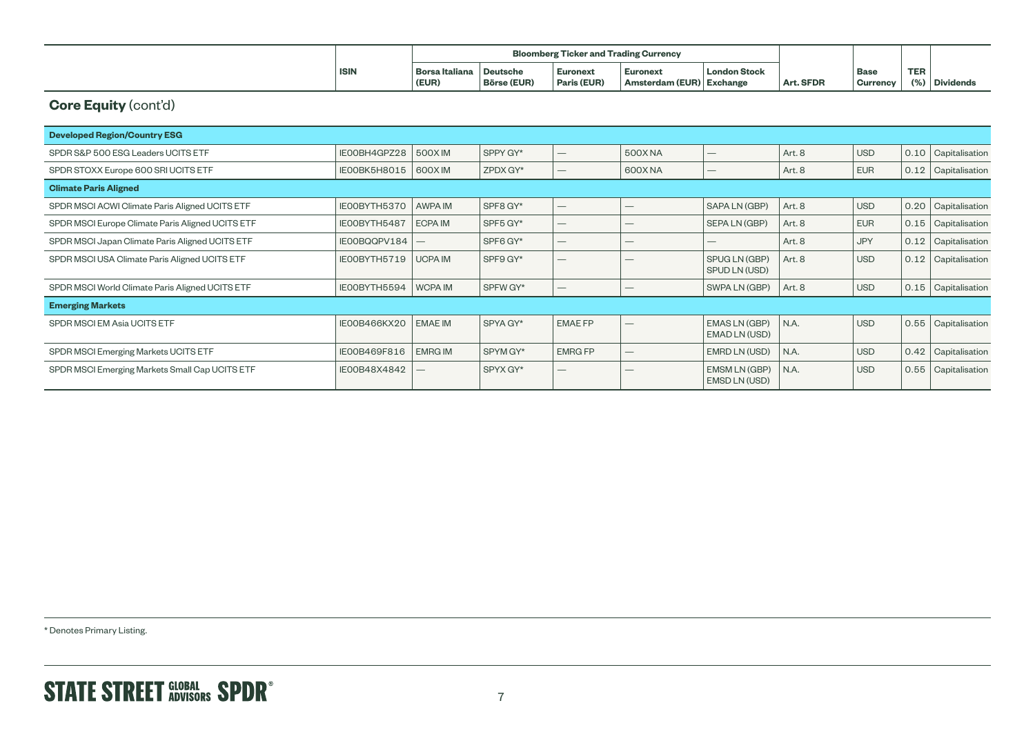|             | <b>Bloomberg Ticker and Trading Currency</b> |                    |                 |                          |                     |           |                 |            |                  |
|-------------|----------------------------------------------|--------------------|-----------------|--------------------------|---------------------|-----------|-----------------|------------|------------------|
| <b>ISIN</b> | Borsa Italiana                               | Deutsche           | <b>Euronext</b> | <b>Euronext</b>          | <b>London Stock</b> |           | Base            | <b>TER</b> |                  |
|             | (EUR)                                        | <b>Börse (EUR)</b> | Paris (EUR)     | Amsterdam (EUR) Exchange |                     | Art. SFDR | <b>Currency</b> | 10/7       | <b>Dividends</b> |

## **Core Equity** (cont'd)

| <b>Developed Region/Country ESG</b>              |              |                |          |                          |                                 |                                       |        |            |      |                |  |
|--------------------------------------------------|--------------|----------------|----------|--------------------------|---------------------------------|---------------------------------------|--------|------------|------|----------------|--|
| SPDR S&P 500 ESG Leaders UCITS ETF               | IE00BH4GPZ28 | 500XIM         | SPPY GY* | $\overline{\phantom{0}}$ | <b>500XNA</b>                   | $\hspace{0.1mm}-\hspace{0.1mm}$       | Art. 8 | <b>USD</b> | 0.10 | Capitalisation |  |
| SPDR STOXX Europe 600 SRI UCITS ETF              | IEOOBK5H8015 | 600XIM         | ZPDX GY* |                          | 600X NA                         |                                       | Art. 8 | <b>EUR</b> | 0.12 | Capitalisation |  |
| <b>Climate Paris Aligned</b>                     |              |                |          |                          |                                 |                                       |        |            |      |                |  |
| SPDR MSCI ACWI Climate Paris Aligned UCITS ETF   | IE00BYTH5370 | AWPA IM        | SPF8 GY* | $\overline{\phantom{0}}$ |                                 | SAPA LN (GBP)                         | Art. 8 | <b>USD</b> | 0.20 | Capitalisation |  |
| SPDR MSCI Europe Climate Paris Aligned UCITS ETF | IEOOBYTH5487 | ECPA IM        | SPF5 GY* | —                        | $\hspace{0.1mm}-\hspace{0.1mm}$ | SEPA LN (GBP)                         | Art. 8 | <b>EUR</b> | 0.15 | Capitalisation |  |
| SPDR MSCI Japan Climate Paris Aligned UCITS ETF  | IE00BQQPV184 |                | SPF6 GY* | —                        |                                 |                                       | Art. 8 | <b>JPY</b> | 0.12 | Capitalisation |  |
| SPDR MSCI USA Climate Paris Aligned UCITS ETF    | IEOOBYTH5719 | <b>UCPA IM</b> | SPF9 GY* | $\overline{\phantom{0}}$ | $\hspace{0.1mm}-\hspace{0.1mm}$ | SPUG LN (GBP)<br>SPUD LN (USD)        | Art. 8 | <b>USD</b> | 0.12 | Capitalisation |  |
| SPDR MSCI World Climate Paris Aligned UCITS ETF  | IE00BYTH5594 | <b>WCPA IM</b> | SPFW GY* |                          |                                 | SWPA LN (GBP)                         | Art. 8 | <b>USD</b> | 0.15 | Capitalisation |  |
| <b>Emerging Markets</b>                          |              |                |          |                          |                                 |                                       |        |            |      |                |  |
| SPDR MSCI EM Asia UCITS ETF                      | IE00B466KX20 | <b>EMAE IM</b> | SPYA GY* | <b>EMAE FP</b>           |                                 | EMAS LN (GBP)<br><b>EMAD LN (USD)</b> | N.A.   | <b>USD</b> | 0.55 | Capitalisation |  |
| SPDR MSCI Emerging Markets UCITS ETF             | IE00B469F816 | <b>EMRG IM</b> | SPYM GY* | <b>EMRG FP</b>           | $\hspace{0.1mm}-\hspace{0.1mm}$ | EMRD LN (USD)                         | N.A.   | <b>USD</b> | 0.42 | Capitalisation |  |
| SPDR MSCI Emerging Markets Small Cap UCITS ETF   | IE00B48X4842 |                | SPYX GY* | —                        |                                 | EMSM LN (GBP)<br>EMSD LN (USD)        | N.A.   | <b>USD</b> | 0.55 | Capitalisation |  |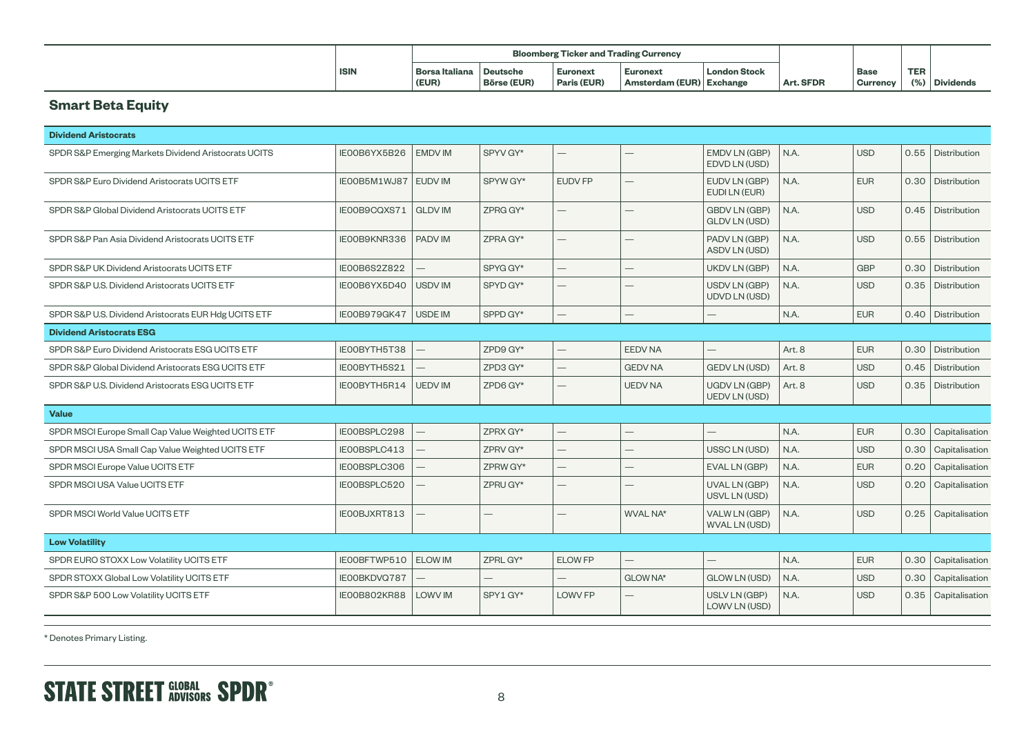|             | <b>Bloomberg Ticker and Trading Currency</b> |                    |                 |                          |                     |           |                 |            |                  |
|-------------|----------------------------------------------|--------------------|-----------------|--------------------------|---------------------|-----------|-----------------|------------|------------------|
| <b>ISIN</b> | Borsa Italiana                               | <b>Deutsche</b>    | <b>Euronext</b> | <b>Euronext</b>          | <b>London Stock</b> |           | Base            | <b>TER</b> |                  |
|             | (EUR)                                        | <b>Börse (EUR)</b> | Paris (EUR)     | Amsterdam (EUR) Exchange |                     | Art. SFDR | <b>Currency</b> | 10/7       | <b>Dividends</b> |

## **Smart Beta Equity**

| <b>Dividend Aristocrats</b>                          |                      |                |                          |                          |                 |                                              |        |            |      |                     |
|------------------------------------------------------|----------------------|----------------|--------------------------|--------------------------|-----------------|----------------------------------------------|--------|------------|------|---------------------|
| SPDR S&P Emerging Markets Dividend Aristocrats UCITS | IE00B6YX5B26         | <b>EMDV IM</b> | SPYV GY*                 | $\overline{\phantom{0}}$ |                 | EMDV LN (GBP)<br>EDVD LN (USD)               | N.A.   | <b>USD</b> |      | 0.55 Distribution   |
| SPDR S&P Euro Dividend Aristocrats UCITS ETF         | IEOOB5M1WJ87 EUDV IM |                | SPYW GY*                 | <b>EUDV FP</b>           |                 | EUDV LN (GBP)<br>EUDI LN (EUR)               | N.A.   | <b>EUR</b> |      | 0.30   Distribution |
| SPDR S&P Global Dividend Aristocrats UCITS ETF       | IE00B9CQXS71         | <b>GLDV IM</b> | ZPRG GY*                 |                          |                 | <b>GBDV LN (GBP)</b><br><b>GLDV LN (USD)</b> | N.A.   | <b>USD</b> |      | 0.45   Distribution |
| SPDR S&P Pan Asia Dividend Aristocrats UCITS ETF     | IEOOB9KNR336         | <b>PADVIM</b>  | ZPRA GY*                 |                          |                 | PADV LN (GBP)<br>ASDV LN (USD)               | N.A.   | <b>USD</b> |      | 0.55   Distribution |
| SPDR S&P UK Dividend Aristocrats UCITS ETF           | IE00B6S2Z822         |                | SPYG GY*                 |                          |                 | UKDV LN (GBP)                                | N.A.   | <b>GBP</b> |      | 0.30 Distribution   |
| SPDR S&P U.S. Dividend Aristocrats UCITS ETF         | IE00B6YX5D40         | <b>USDV IM</b> | SPYD GY*                 | $\overline{\phantom{0}}$ |                 | USDV LN (GBP)<br><b>UDVD LN (USD)</b>        | N.A.   | <b>USD</b> | 0.35 | Distribution        |
| SPDR S&P U.S. Dividend Aristocrats EUR Hdg UCITS ETF | IE00B979GK47         | <b>USDE IM</b> | SPPD GY*                 |                          |                 |                                              | N.A.   | <b>EUR</b> |      | 0.40   Distribution |
| <b>Dividend Aristocrats ESG</b>                      |                      |                |                          |                          |                 |                                              |        |            |      |                     |
| SPDR S&P Euro Dividend Aristocrats ESG UCITS ETF     | IEOOBYTH5T38         |                | ZPD9 GY*                 |                          | <b>EEDV NA</b>  |                                              | Art. 8 | <b>EUR</b> | 0.30 | Distribution        |
| SPDR S&P Global Dividend Aristocrats ESG UCITS ETF   | IE00BYTH5S21         |                | ZPD3 GY*                 |                          | <b>GEDV NA</b>  | <b>GEDV LN (USD)</b>                         | Art. 8 | <b>USD</b> | 0.45 | Distribution        |
| SPDR S&P U.S. Dividend Aristocrats ESG UCITS ETF     | IEOOBYTH5R14         | <b>UEDV IM</b> | ZPD6 GY*                 |                          | <b>UEDV NA</b>  | <b>UGDV LN (GBP)</b><br><b>UEDV LN (USD)</b> | Art. 8 | <b>USD</b> | 0.35 | Distribution        |
| <b>Value</b>                                         |                      |                |                          |                          |                 |                                              |        |            |      |                     |
| SPDR MSCI Europe Small Cap Value Weighted UCITS ETF  | IE00BSPLC298         |                | ZPRX GY*                 |                          |                 |                                              | N.A.   | <b>EUR</b> | 0.30 | Capitalisation      |
| SPDR MSCI USA Small Cap Value Weighted UCITS ETF     | IEOOBSPLC413         |                | ZPRV GY*                 |                          |                 | USSC LN (USD)                                | N.A.   | <b>USD</b> | 0.30 | Capitalisation      |
| SPDR MSCI Europe Value UCITS ETF                     | IE00BSPLC306         |                | ZPRW GY*                 |                          |                 | EVAL LN (GBP)                                | N.A.   | <b>EUR</b> | 0.20 | Capitalisation      |
| SPDR MSCI USA Value UCITS ETF                        | IE00BSPLC520         |                | ZPRU GY*                 |                          |                 | UVAL LN (GBP)<br>USVL LN (USD)               | N.A.   | <b>USD</b> | 0.20 | Capitalisation      |
| SPDR MSCI World Value UCITS ETF                      | IEOOBJXRT813         |                |                          |                          | WVAL NA*        | VALW LN (GBP)<br><b>WVAL LN (USD)</b>        | N.A.   | <b>USD</b> | 0.25 | Capitalisation      |
| <b>Low Volatility</b>                                |                      |                |                          |                          |                 |                                              |        |            |      |                     |
| SPDR EURO STOXX Low Volatility UCITS ETF             | IEOOBFTWP510         | <b>ELOW IM</b> | ZPRL GY*                 | <b>ELOW FP</b>           |                 |                                              | N.A.   | <b>EUR</b> | 0.30 | Capitalisation      |
| SPDR STOXX Global Low Volatility UCITS ETF           | IE00BKDVQ787         |                | $\overline{\phantom{0}}$ |                          | <b>GLOW NA*</b> | <b>GLOW LN (USD)</b>                         | N.A.   | <b>USD</b> | 0.30 | Capitalisation      |
| SPDR S&P 500 Low Volatility UCITS ETF                | IE00B802KR88         | <b>LOWV IM</b> | SPY1 GY*                 | LOWV FP                  |                 | USLV LN (GBP)<br>LOWV LN (USD)               | N.A.   | <b>USD</b> | 0.35 | Capitalisation      |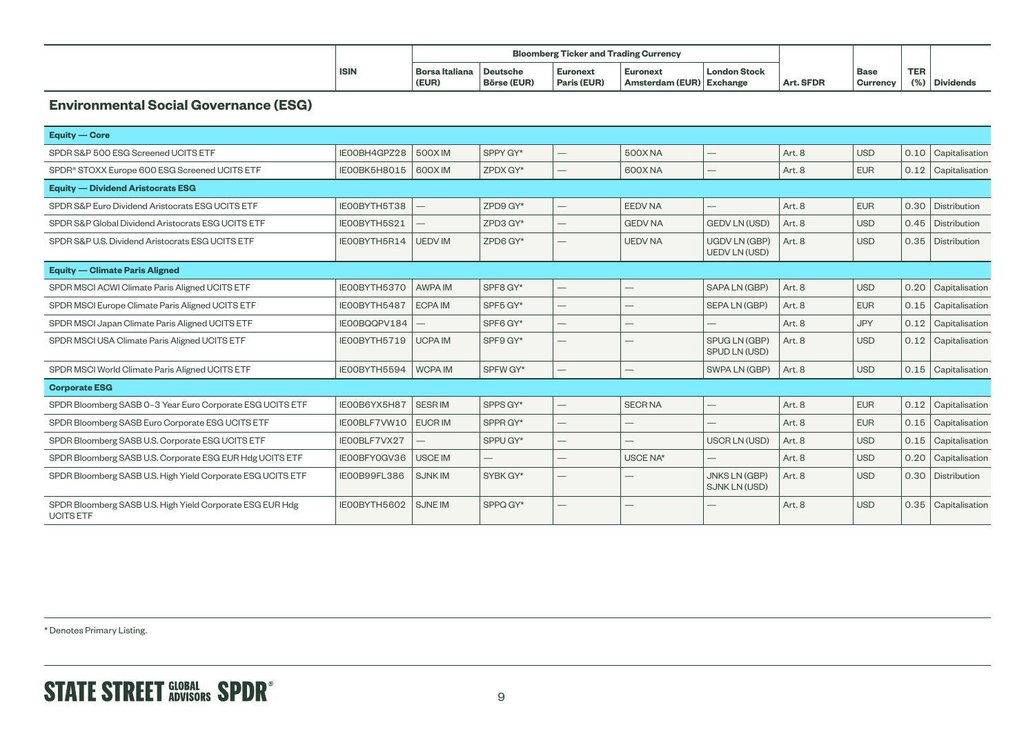|             | <b>Bloomberg Ticker and Trading Currency</b> |                                       |                                |                                      |                     |           |                           |                             |  |
|-------------|----------------------------------------------|---------------------------------------|--------------------------------|--------------------------------------|---------------------|-----------|---------------------------|-----------------------------|--|
| <b>ISIN</b> | Borsa Italiana<br>(EUR)                      | <b>Deutsche</b><br><b>Börse (EUR)</b> | <b>Euronext</b><br>Paris (EUR) | Euronext<br>Amsterdam (EUR) Exchange | <b>London Stock</b> | Art. SFDR | ' Base<br><b>Currency</b> | <b>TER</b><br>(%) Dividends |  |

#### **Environmental Social Governance (ESG)**

| <b>Equity — Core</b>                                                          |              |                |          |                          |                |                                              |        |            |      |                |  |
|-------------------------------------------------------------------------------|--------------|----------------|----------|--------------------------|----------------|----------------------------------------------|--------|------------|------|----------------|--|
| SPDR S&P 500 ESG Screened UCITS ETF                                           | IE00BH4GPZ28 | 500XIM         | SPPY GY* | $\overline{\phantom{0}}$ | <b>500XNA</b>  |                                              | Art. 8 | <b>USD</b> | 0.10 | Capitalisation |  |
| SPDR <sup>®</sup> STOXX Europe 600 ESG Screened UCITS ETF                     | IEOOBK5H8015 | 600XIM         | ZPDX GY* | $\overline{\phantom{0}}$ | 600X NA        |                                              | Art. 8 | <b>EUR</b> | 0.12 | Capitalisation |  |
| <b>Equity — Dividend Aristocrats ESG</b>                                      |              |                |          |                          |                |                                              |        |            |      |                |  |
| SPDR S&P Euro Dividend Aristocrats ESG UCITS ETF                              | IEOOBYTH5T38 |                | ZPD9 GY* | $\qquad \qquad -$        | <b>EEDV NA</b> |                                              | Art. 8 | <b>EUR</b> | 0.30 | Distribution   |  |
| SPDR S&P Global Dividend Aristocrats ESG UCITS ETF                            | IEOOBYTH5S21 |                | ZPD3 GY* |                          | <b>GEDV NA</b> | <b>GEDV LN (USD)</b>                         | Art. 8 | <b>USD</b> | 0.45 | Distribution   |  |
| SPDR S&P U.S. Dividend Aristocrats ESG UCITS ETF                              | IEOOBYTH5R14 | <b>UEDV IM</b> | ZPD6 GY* |                          | <b>UEDV NA</b> | <b>UGDV LN (GBP)</b><br><b>UEDV LN (USD)</b> | Art. 8 | <b>USD</b> | 0.35 | Distribution   |  |
| <b>Equity — Climate Paris Aligned</b>                                         |              |                |          |                          |                |                                              |        |            |      |                |  |
| SPDR MSCI ACWI Climate Paris Aligned UCITS ETF                                | IE00BYTH5370 | AWPA IM        | SPF8 GY* | $\overline{\phantom{0}}$ |                | SAPA LN (GBP)                                | Art. 8 | <b>USD</b> | 0.20 | Capitalisation |  |
| SPDR MSCI Europe Climate Paris Aligned UCITS ETF                              | IEOOBYTH5487 | <b>ECPA IM</b> | SPF5 GY* |                          |                | SEPA LN (GBP)                                | Art. 8 | <b>EUR</b> | 0.15 | Capitalisation |  |
| SPDR MSCI Japan Climate Paris Aligned UCITS ETF                               | IE00BQQPV184 |                | SPF6 GY* | $\overline{\phantom{0}}$ |                |                                              | Art. 8 | <b>JPY</b> | 0.12 | Capitalisation |  |
| SPDR MSCI USA Climate Paris Aligned UCITS ETF                                 | IEOOBYTH5719 | <b>UCPA IM</b> | SPF9 GY* |                          |                | SPUG LN (GBP)<br>SPUD LN (USD)               | Art. 8 | <b>USD</b> | 0.12 | Capitalisation |  |
| SPDR MSCI World Climate Paris Aligned UCITS ETF                               | IEOOBYTH5594 | <b>WCPAIM</b>  | SPFW GY* | $\qquad \qquad -$        |                | SWPA LN (GBP)                                | Art. 8 | <b>USD</b> | 0.15 | Capitalisation |  |
| <b>Corporate ESG</b>                                                          |              |                |          |                          |                |                                              |        |            |      |                |  |
| SPDR Bloomberg SASB 0-3 Year Euro Corporate ESG UCITS ETF                     | IE00B6YX5H87 | <b>SESRIM</b>  | SPPS GY* | $\overline{\phantom{0}}$ | <b>SECRNA</b>  |                                              | Art. 8 | <b>EUR</b> | 0.12 | Capitalisation |  |
| SPDR Bloomberg SASB Euro Corporate ESG UCITS ETF                              | IEOOBLF7VW10 | <b>EUCRIM</b>  | SPPR GY* | $\overline{\phantom{0}}$ |                |                                              | Art. 8 | <b>EUR</b> | 0.15 | Capitalisation |  |
| SPDR Bloomberg SASB U.S. Corporate ESG UCITS ETF                              | IEOOBLF7VX27 |                | SPPU GY* | $\overline{\phantom{0}}$ |                | USCR LN (USD)                                | Art. 8 | <b>USD</b> | 0.15 | Capitalisation |  |
| SPDR Bloomberg SASB U.S. Corporate ESG EUR Hdg UCITS ETF                      | IE00BFY0GV36 | <b>USCE IM</b> |          |                          | USCE NA*       |                                              | Art. 8 | <b>USD</b> | 0.20 | Capitalisation |  |
| SPDR Bloomberg SASB U.S. High Yield Corporate ESG UCITS ETF                   | IEOOB99FL386 | <b>SJNKIM</b>  | SYBK GY* |                          |                | <b>JNKS LN (GBP)</b><br>SJNK LN (USD)        | Art. 8 | <b>USD</b> | 0.30 | Distribution   |  |
| SPDR Bloomberg SASB U.S. High Yield Corporate ESG EUR Hdg<br><b>UCITS ETF</b> | IE00BYTH5602 | <b>SJNE IM</b> | SPPQ GY* |                          |                |                                              | Art. 8 | <b>USD</b> | 0.35 | Capitalisation |  |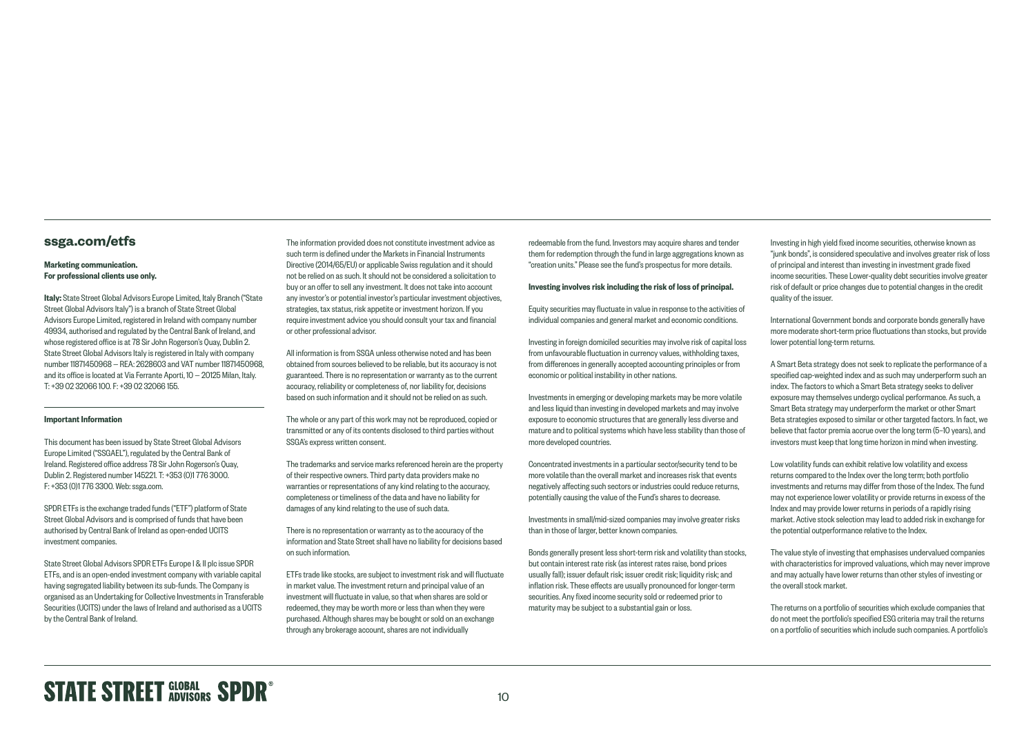#### **[ssga.com/etfs](http://ssga.com/etfs)**

#### Marketing communication. For professional clients use only.

Italy: State Street Global Advisors Europe Limited, Italy Branch ("State Street Global Advisors Italy") is a branch of State Street Global Advisors Europe Limited, registered in Ireland with company number 49934, authorised and regulated by the Central Bank of Ireland, and whose registered office is at 78 Sir John Rogerson's Quay, Dublin 2. State Street Global Advisors Italy is registered in Italy with company number 11871450968 — REA: 2628603 and VAT number 11871450968, and its office is located at Via Ferrante Aporti, 10 — 20125 Milan, Italy. T: +39 02 32066 100. F: +39 02 32066 155.

#### Important Information

This document has been issued by State Street Global Advisors Europe Limited ("SSGAEL"), regulated by the Central Bank of Ireland. Registered office address 78 Sir John Rogerson's Quay, Dublin 2. Registered number 145221. T: +353 (0)1 776 3000. F: +353 (0)1 776 3300. Web: [ssga.com.](http://www.ssga.com)

SPDR ETFs is the exchange traded funds ("ETF") platform of State Street Global Advisors and is comprised of funds that have been authorised by Central Bank of Ireland as open-ended UCITS investment companies.

State Street Global Advisors SPDR ETFs Europe I & II plc issue SPDR ETFs, and is an open-ended investment company with variable capital having segregated liability between its sub-funds. The Company is organised as an Undertaking for Collective Investments in Transferable Securities (UCITS) under the laws of Ireland and authorised as a UCITS by the Central Bank of Ireland.

The information provided does not constitute investment advice as such term is defined under the Markets in Financial Instruments Directive (2014/65/EU) or applicable Swiss regulation and it should not be relied on as such. It should not be considered a solicitation to buy or an offer to sell any investment. It does not take into account any investor's or potential investor's particular investment objectives, strategies, tax status, risk appetite or investment horizon. If you require investment advice you should consult your tax and financial or other professional advisor.

All information is from SSGA unless otherwise noted and has been obtained from sources believed to be reliable, but its accuracy is not guaranteed. There is no representation or warranty as to the current accuracy, reliability or completeness of, nor liability for, decisions based on such information and it should not be relied on as such.

The whole or any part of this work may not be reproduced, copied or transmitted or any of its contents disclosed to third parties without SSGA's express written consent.

The trademarks and service marks referenced herein are the property of their respective owners. Third party data providers make no warranties or representations of any kind relating to the accuracy, completeness or timeliness of the data and have no liability for damages of any kind relating to the use of such data.

There is no representation or warranty as to the accuracy of the information and State Street shall have no liability for decisions based on such information.

ETFs trade like stocks, are subject to investment risk and will fluctuate in market value. The investment return and principal value of an investment will fluctuate in value, so that when shares are sold or redeemed, they may be worth more or less than when they were purchased. Although shares may be bought or sold on an exchange through any brokerage account, shares are not individually

redeemable from the fund. Investors may acquire shares and tender them for redemption through the fund in large aggregations known as "creation units." Please see the fund's prospectus for more details.

#### Investing involves risk including the risk of loss of principal.

Equity securities may fluctuate in value in response to the activities of individual companies and general market and economic conditions.

Investing in foreign domiciled securities may involve risk of capital loss from unfavourable fluctuation in currency values, withholding taxes, from differences in generally accepted accounting principles or from economic or political instability in other nations.

Investments in emerging or developing markets may be more volatile and less liquid than investing in developed markets and may involve exposure to economic structures that are generally less diverse and mature and to political systems which have less stability than those of more developed countries.

Concentrated investments in a particular sector/security tend to be more volatile than the overall market and increases risk that events negatively affecting such sectors or industries could reduce returns, potentially causing the value of the Fund's shares to decrease.

Investments in small/mid-sized companies may involve greater risks than in those of larger, better known companies.

Bonds generally present less short-term risk and volatility than stocks, but contain interest rate risk (as interest rates raise, bond prices usually fall); issuer default risk; issuer credit risk; liquidity risk; and inflation risk. These effects are usually pronounced for longer-term securities. Any fixed income security sold or redeemed prior to maturity may be subject to a substantial gain or loss.

Investing in high yield fixed income securities, otherwise known as "junk bonds", is considered speculative and involves greater risk of loss of principal and interest than investing in investment grade fixed income securities. These Lower-quality debt securities involve greater risk of default or price changes due to potential changes in the credit quality of the issuer.

International Government bonds and corporate bonds generally have more moderate short-term price fluctuations than stocks, but provide lower potential long-term returns.

A Smart Beta strategy does not seek to replicate the performance of a specified cap-weighted index and as such may underperform such an index. The factors to which a Smart Beta strategy seeks to deliver exposure may themselves undergo cyclical performance. As such, a Smart Beta strategy may underperform the market or other Smart Beta strategies exposed to similar or other targeted factors. In fact, we believe that factor premia accrue over the long term (5–10 years), and investors must keep that long time horizon in mind when investing.

Low volatility funds can exhibit relative low volatility and excess returns compared to the Index over the long term; both portfolio investments and returns may differ from those of the Index. The fund may not experience lower volatility or provide returns in excess of the Index and may provide lower returns in periods of a rapidly rising market. Active stock selection may lead to added risk in exchange for the potential outperformance relative to the Index.

The value style of investing that emphasises undervalued companies with characteristics for improved valuations, which may never improve and may actually have lower returns than other styles of investing or the overall stock market.

The returns on a portfolio of securities which exclude companies that do not meet the portfolio's specified ESG criteria may trail the returns on a portfolio of securities which include such companies. A portfolio's